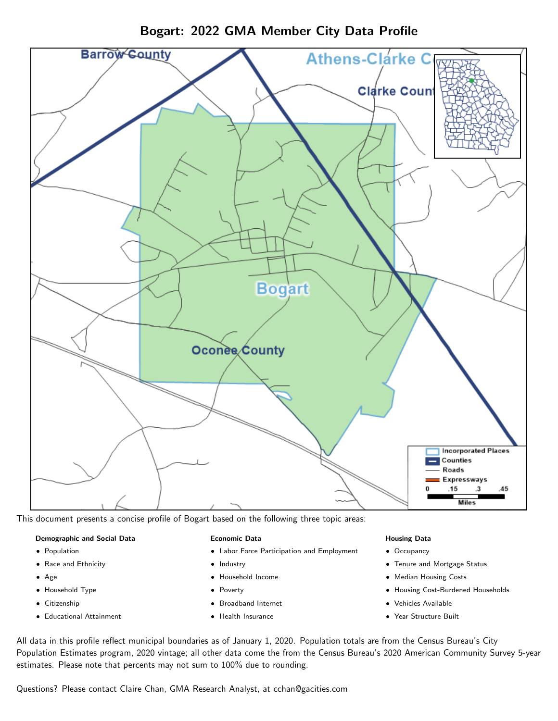

Bogart: 2022 GMA Member City Data Profile

This document presents a concise profile of Bogart based on the following three topic areas:

## Demographic and Social Data

- **•** Population
- Race and Ethnicity
- Age
- Household Type
- **Citizenship**
- Educational Attainment

## Economic Data

- Labor Force Participation and Employment
- Industry
- Household Income
- Poverty
- Broadband Internet
- Health Insurance

#### Housing Data

- Occupancy
- Tenure and Mortgage Status
- Median Housing Costs
- Housing Cost-Burdened Households
- Vehicles Available
- $\bullet$ Year Structure Built

All data in this profile reflect municipal boundaries as of January 1, 2020. Population totals are from the Census Bureau's City Population Estimates program, 2020 vintage; all other data come the from the Census Bureau's 2020 American Community Survey 5-year estimates. Please note that percents may not sum to 100% due to rounding.

Questions? Please contact Claire Chan, GMA Research Analyst, at [cchan@gacities.com.](mailto:cchan@gacities.com)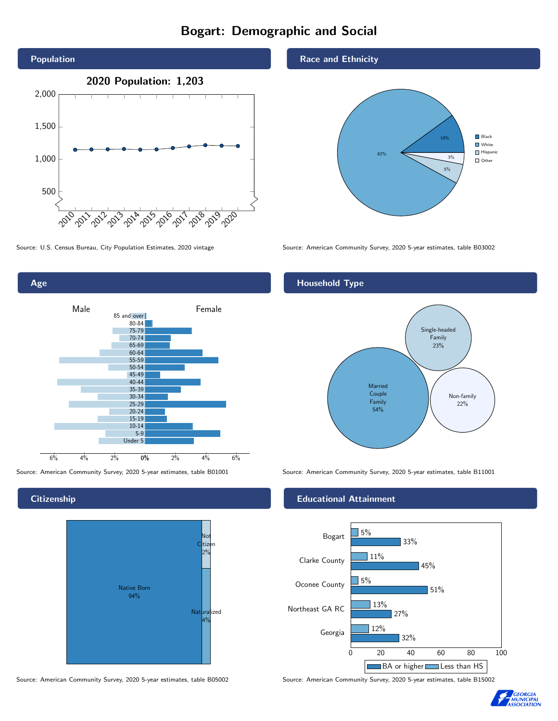# Bogart: Demographic and Social



0% 2% 4% 6% Male **Female** 6% 4% 2% 85 and over 80-84 75-79 70-74 65-69 60-64 55-59 50-54 45-49 40-44 35-39 30-34 25-29 20-24 15-19 10-14 5-9 Under 5

## **Citizenship**

Age



Source: American Community Survey, 2020 5-year estimates, table B05002 Source: American Community Survey, 2020 5-year estimates, table B15002

#### Race and Ethnicity



Source: U.S. Census Bureau, City Population Estimates, 2020 vintage Source: American Community Survey, 2020 5-year estimates, table B03002

# Household Type



Source: American Community Survey, 2020 5-year estimates, table B01001 Source: American Community Survey, 2020 5-year estimates, table B11001

## Educational Attainment



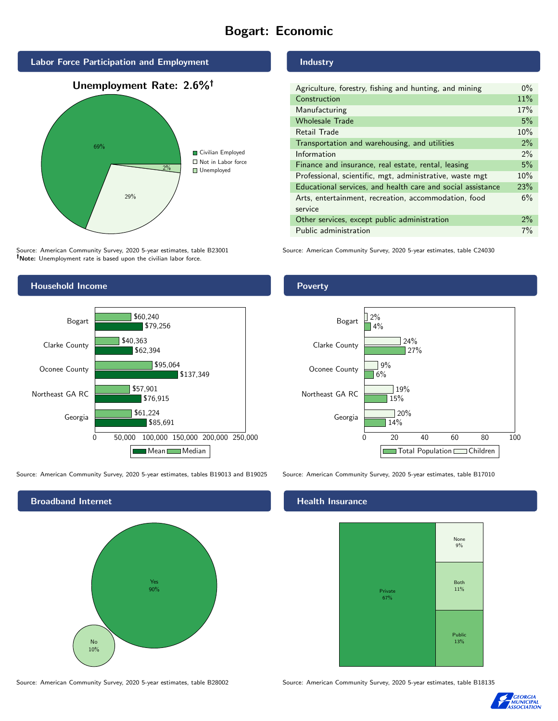# Bogart: Economic



Source: American Community Survey, 2020 5-year estimates, table B23001 Note: Unemployment rate is based upon the civilian labor force.

#### Household Income 0 50,000 100,000 150,000 200,000 250,000 Georgia Northeast GA RC Oconee County Clarke County Bogart \$85,691 \$76,915 \$137,349 \$62,394 \$79,256 \$61,224 \$57,901 \$95,064 \$40,363 \$60,240 Mean Median

Source: American Community Survey, 2020 5-year estimates, tables B19013 and B19025 Source: American Community Survey, 2020 5-year estimates, table B17010



## Industry

| Agriculture, forestry, fishing and hunting, and mining      | $0\%$ |
|-------------------------------------------------------------|-------|
| Construction                                                | 11%   |
| Manufacturing                                               | 17%   |
| <b>Wholesale Trade</b>                                      | 5%    |
| <b>Retail Trade</b>                                         | 10%   |
| Transportation and warehousing, and utilities               | 2%    |
| Information                                                 | $2\%$ |
| Finance and insurance, real estate, rental, leasing         | 5%    |
| Professional, scientific, mgt, administrative, waste mgt    | 10%   |
| Educational services, and health care and social assistance | 23%   |
| Arts, entertainment, recreation, accommodation, food        | 6%    |
| service                                                     |       |
| Other services, except public administration                | $2\%$ |
| Public administration                                       | 7%    |

Source: American Community Survey, 2020 5-year estimates, table C24030

## **Poverty**



#### Health Insurance



Source: American Community Survey, 2020 5-year estimates, table B28002 Source: American Community Survey, 2020 5-year estimates, table B18135